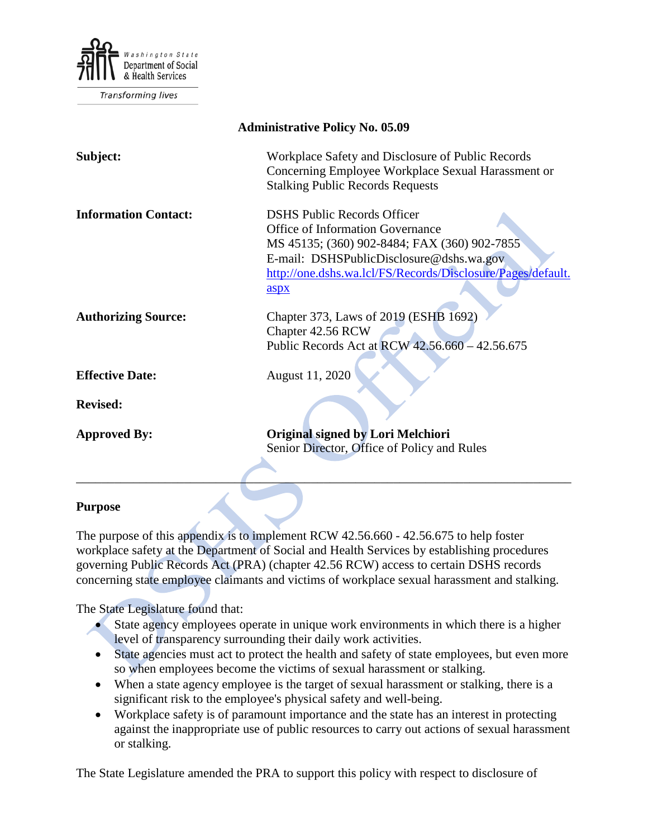

**Transforming lives** 

| <b>Administrative Policy No. 05.09</b> |                                                                                                                                                                                                                                                  |
|----------------------------------------|--------------------------------------------------------------------------------------------------------------------------------------------------------------------------------------------------------------------------------------------------|
| Subject:                               | Workplace Safety and Disclosure of Public Records<br>Concerning Employee Workplace Sexual Harassment or<br><b>Stalking Public Records Requests</b>                                                                                               |
| <b>Information Contact:</b>            | <b>DSHS Public Records Officer</b><br><b>Office of Information Governance</b><br>MS 45135; (360) 902-8484; FAX (360) 902-7855<br>E-mail: DSHSPublicDisclosure@dshs.wa.gov<br>http://one.dshs.wa.lcl/FS/Records/Disclosure/Pages/default.<br>aspx |
| <b>Authorizing Source:</b>             | Chapter 373, Laws of 2019 (ESHB 1692)<br>Chapter 42.56 RCW<br>Public Records Act at RCW 42.56.660 - 42.56.675                                                                                                                                    |
| <b>Effective Date:</b>                 | August 11, 2020                                                                                                                                                                                                                                  |
| <b>Revised:</b>                        |                                                                                                                                                                                                                                                  |
| <b>Approved By:</b>                    | Original signed by Lori Melchiori<br>Senior Director, Office of Policy and Rules                                                                                                                                                                 |

#### **Purpose**

The purpose of this appendix is to implement RCW 42.56.660 - 42.56.675 to help foster workplace safety at the Department of Social and Health Services by establishing procedures governing Public Records Act (PRA) (chapter 42.56 RCW) access to certain DSHS records concerning state employee claimants and victims of workplace sexual harassment and stalking.

The State Legislature found that:

- State agency employees operate in unique work environments in which there is a higher level of transparency surrounding their daily work activities.
- State agencies must act to protect the health and safety of state employees, but even more so when employees become the victims of sexual harassment or stalking.
- When a state agency employee is the target of sexual harassment or stalking, there is a significant risk to the employee's physical safety and well-being.
- Workplace safety is of paramount importance and the state has an interest in protecting against the inappropriate use of public resources to carry out actions of sexual harassment or stalking.

The State Legislature amended the PRA to support this policy with respect to disclosure of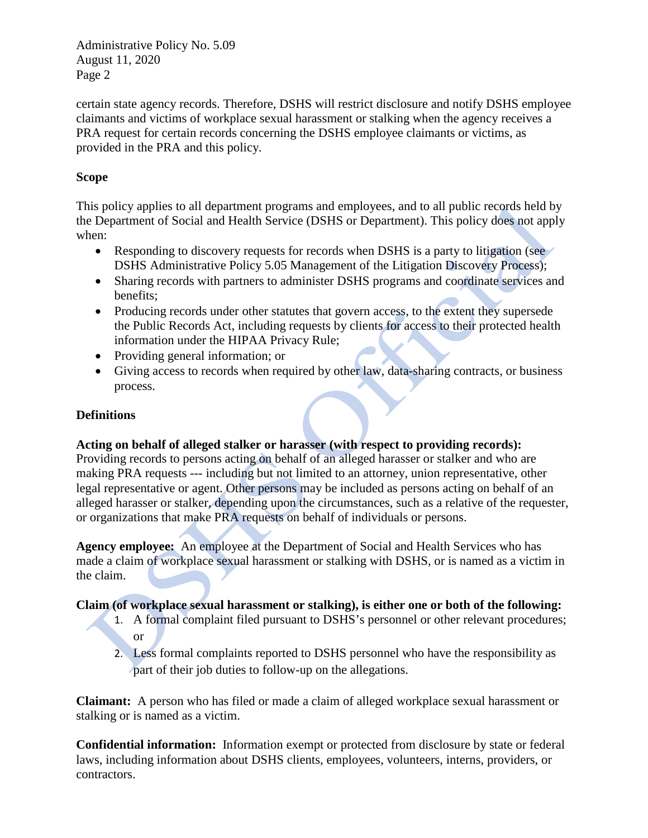certain state agency records. Therefore, DSHS will restrict disclosure and notify DSHS employee claimants and victims of workplace sexual harassment or stalking when the agency receives a PRA request for certain records concerning the DSHS employee claimants or victims, as provided in the PRA and this policy.

### **Scope**

This policy applies to all department programs and employees, and to all public records held by the Department of Social and Health Service (DSHS or Department). This policy does not apply when:

- Responding to discovery requests for records when DSHS is a party to litigation (see DSHS Administrative Policy 5.05 Management of the Litigation Discovery Process);
- Sharing records with partners to administer DSHS programs and coordinate services and benefits;
- Producing records under other statutes that govern access, to the extent they supersede the Public Records Act, including requests by clients for access to their protected health information under the HIPAA Privacy Rule;
- Providing general information; or
- Giving access to records when required by other law, data-sharing contracts, or business process.

## **Definitions**

# **Acting on behalf of alleged stalker or harasser (with respect to providing records):**

Providing records to persons acting on behalf of an alleged harasser or stalker and who are making PRA requests --- including but not limited to an attorney, union representative, other legal representative or agent. Other persons may be included as persons acting on behalf of an alleged harasser or stalker, depending upon the circumstances, such as a relative of the requester, or organizations that make PRA requests on behalf of individuals or persons.

**Agency employee:** An employee at the Department of Social and Health Services who has made a claim of workplace sexual harassment or stalking with DSHS, or is named as a victim in the claim.

# **Claim (of workplace sexual harassment or stalking), is either one or both of the following:**

- 1. A formal complaint filed pursuant to DSHS's personnel or other relevant procedures; or
- 2. Less formal complaints reported to DSHS personnel who have the responsibility as part of their job duties to follow-up on the allegations.

**Claimant:** A person who has filed or made a claim of alleged workplace sexual harassment or stalking or is named as a victim.

**Confidential information:** Information exempt or protected from disclosure by state or federal laws, including information about DSHS clients, employees, volunteers, interns, providers, or contractors.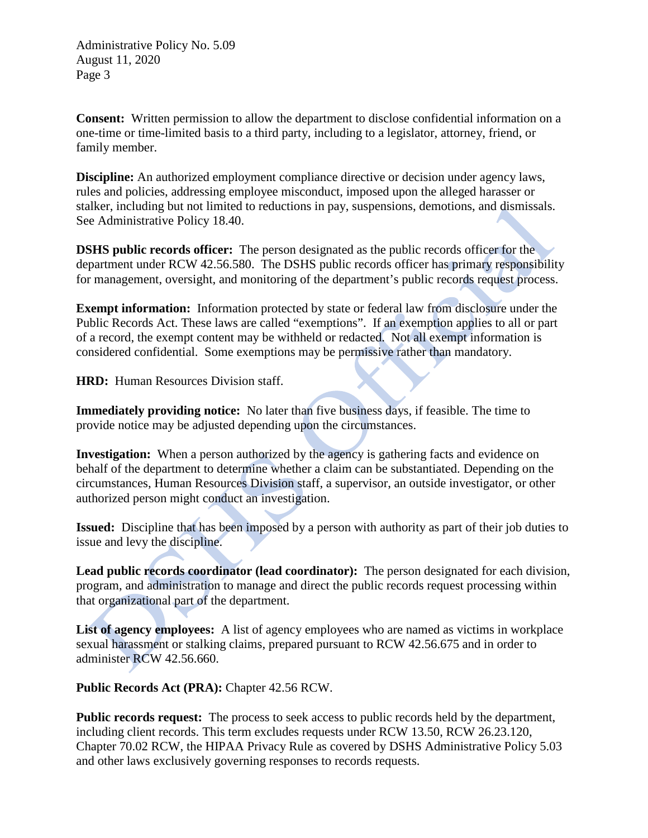**Consent:** Written permission to allow the department to disclose confidential information on a one-time or time-limited basis to a third party, including to a legislator, attorney, friend, or family member.

**Discipline:** An authorized employment compliance directive or decision under agency laws, rules and policies, addressing employee misconduct, imposed upon the alleged harasser or stalker, including but not limited to reductions in pay, suspensions, demotions, and dismissals. See Administrative Policy 18.40.

**DSHS public records officer:** The person designated as the public records officer for the department under RCW 42.56.580. The DSHS public records officer has primary responsibility for management, oversight, and monitoring of the department's public records request process.

**Exempt information:** Information protected by state or federal law from disclosure under the Public Records Act. These laws are called "exemptions". If an exemption applies to all or part of a record, the exempt content may be withheld or redacted. Not all exempt information is considered confidential. Some exemptions may be permissive rather than mandatory.

**HRD:** Human Resources Division staff.

**Immediately providing notice:** No later than five business days, if feasible. The time to provide notice may be adjusted depending upon the circumstances.

**Investigation:** When a person authorized by the agency is gathering facts and evidence on behalf of the department to determine whether a claim can be substantiated. Depending on the circumstances, Human Resources Division staff, a supervisor, an outside investigator, or other authorized person might conduct an investigation.

**Issued:** Discipline that has been imposed by a person with authority as part of their job duties to issue and levy the discipline.

**Lead public records coordinator (lead coordinator):** The person designated for each division, program, and administration to manage and direct the public records request processing within that organizational part of the department.

List of agency employees: A list of agency employees who are named as victims in workplace sexual harassment or stalking claims, prepared pursuant to RCW 42.56.675 and in order to administer RCW 42.56.660.

**Public Records Act (PRA):** Chapter 42.56 RCW.

**Public records request:** The process to seek access to public records held by the department, including client records. This term excludes requests under RCW 13.50, RCW 26.23.120, Chapter 70.02 RCW, the HIPAA Privacy Rule as covered by DSHS Administrative Policy 5.03 and other laws exclusively governing responses to records requests.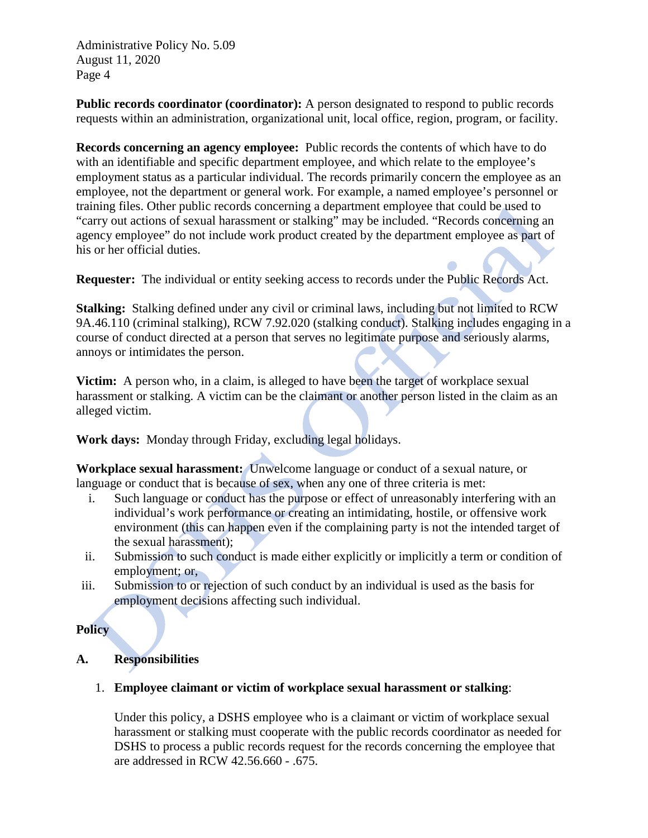**Public records coordinator (coordinator):** A person designated to respond to public records requests within an administration, organizational unit, local office, region, program, or facility.

**Records concerning an agency employee:** Public records the contents of which have to do with an identifiable and specific department employee, and which relate to the employee's employment status as a particular individual. The records primarily concern the employee as an employee, not the department or general work. For example, a named employee's personnel or training files. Other public records concerning a department employee that could be used to "carry out actions of sexual harassment or stalking" may be included. "Records concerning an agency employee" do not include work product created by the department employee as part of his or her official duties.

**Requester:** The individual or entity seeking access to records under the Public Records Act.

**Stalking:** Stalking defined under any civil or criminal laws, including but not limited to RCW 9A.46.110 (criminal stalking), RCW 7.92.020 (stalking conduct). Stalking includes engaging in a course of conduct directed at a person that serves no legitimate purpose and seriously alarms, annoys or intimidates the person.

**Victim:** A person who, in a claim, is alleged to have been the target of workplace sexual harassment or stalking. A victim can be the claimant or another person listed in the claim as an alleged victim.

**Work days:** Monday through Friday, excluding legal holidays.

**Workplace sexual harassment:** Unwelcome language or conduct of a sexual nature, or language or conduct that is because of sex, when any one of three criteria is met:

- i. Such language or conduct has the purpose or effect of unreasonably interfering with an individual's work performance or creating an intimidating, hostile, or offensive work environment (this can happen even if the complaining party is not the intended target of the sexual harassment);
- ii. Submission to such conduct is made either explicitly or implicitly a term or condition of employment; or,
- iii. Submission to or rejection of such conduct by an individual is used as the basis for employment decisions affecting such individual.

### **Policy**

# **A. Responsibilities**

### 1. **Employee claimant or victim of workplace sexual harassment or stalking**:

Under this policy, a DSHS employee who is a claimant or victim of workplace sexual harassment or stalking must cooperate with the public records coordinator as needed for DSHS to process a public records request for the records concerning the employee that are addressed in RCW 42.56.660 - .675.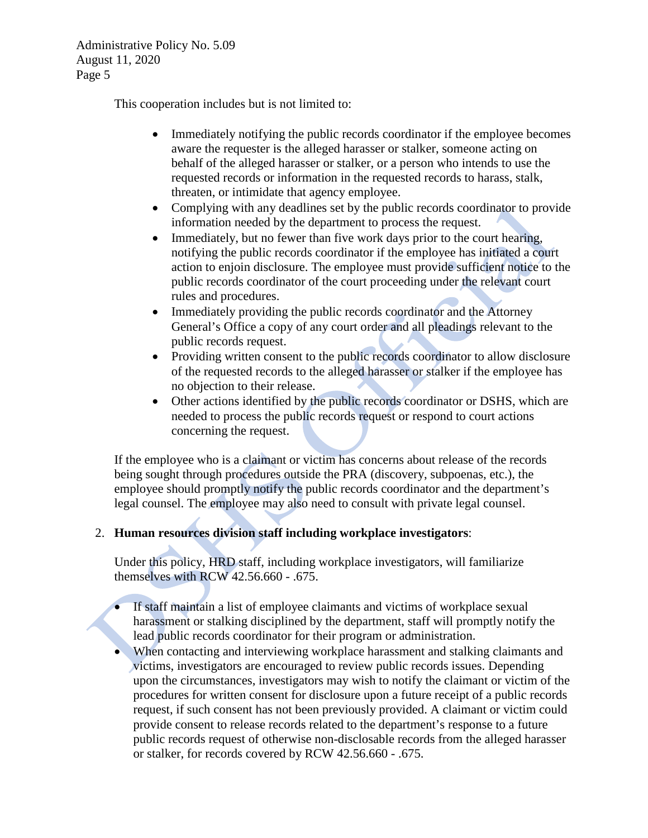This cooperation includes but is not limited to:

- Immediately notifying the public records coordinator if the employee becomes aware the requester is the alleged harasser or stalker, someone acting on behalf of the alleged harasser or stalker, or a person who intends to use the requested records or information in the requested records to harass, stalk, threaten, or intimidate that agency employee.
- Complying with any deadlines set by the public records coordinator to provide information needed by the department to process the request.
- Immediately, but no fewer than five work days prior to the court hearing, notifying the public records coordinator if the employee has initiated a court action to enjoin disclosure. The employee must provide sufficient notice to the public records coordinator of the court proceeding under the relevant court rules and procedures.
- Immediately providing the public records coordinator and the Attorney General's Office a copy of any court order and all pleadings relevant to the public records request.
- Providing written consent to the public records coordinator to allow disclosure of the requested records to the alleged harasser or stalker if the employee has no objection to their release.
- Other actions identified by the public records coordinator or DSHS, which are needed to process the public records request or respond to court actions concerning the request.

If the employee who is a claimant or victim has concerns about release of the records being sought through procedures outside the PRA (discovery, subpoenas, etc.), the employee should promptly notify the public records coordinator and the department's legal counsel. The employee may also need to consult with private legal counsel.

### 2. **Human resources division staff including workplace investigators**:

Under this policy, HRD staff, including workplace investigators, will familiarize themselves with RCW 42.56.660 - .675.

- If staff maintain a list of employee claimants and victims of workplace sexual harassment or stalking disciplined by the department, staff will promptly notify the lead public records coordinator for their program or administration.
- When contacting and interviewing workplace harassment and stalking claimants and victims, investigators are encouraged to review public records issues. Depending upon the circumstances, investigators may wish to notify the claimant or victim of the procedures for written consent for disclosure upon a future receipt of a public records request, if such consent has not been previously provided. A claimant or victim could provide consent to release records related to the department's response to a future public records request of otherwise non-disclosable records from the alleged harasser or stalker, for records covered by RCW 42.56.660 - .675.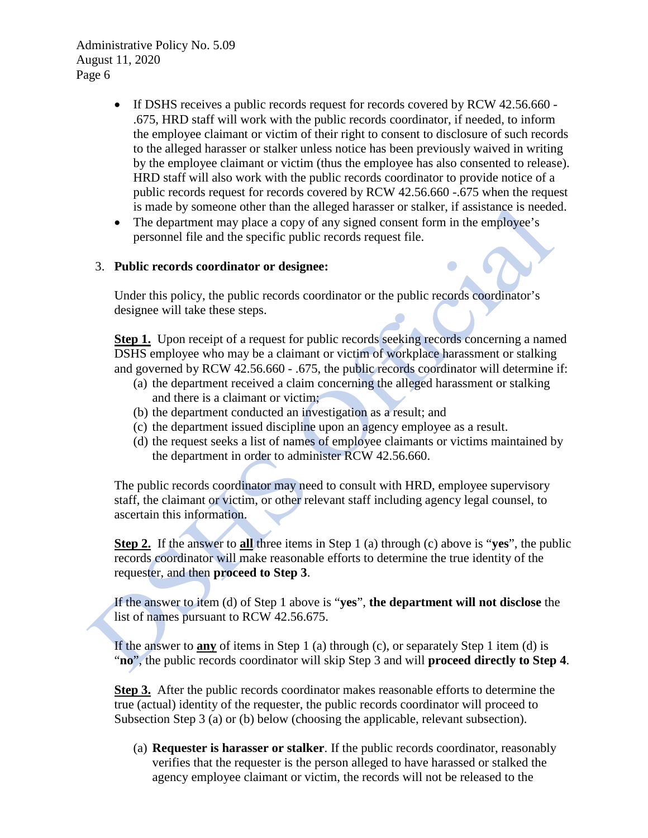- If DSHS receives a public records request for records covered by RCW 42.56.660 -.675, HRD staff will work with the public records coordinator, if needed, to inform the employee claimant or victim of their right to consent to disclosure of such records to the alleged harasser or stalker unless notice has been previously waived in writing by the employee claimant or victim (thus the employee has also consented to release). HRD staff will also work with the public records coordinator to provide notice of a public records request for records covered by RCW 42.56.660 -.675 when the request is made by someone other than the alleged harasser or stalker, if assistance is needed.
- The department may place a copy of any signed consent form in the employee's personnel file and the specific public records request file.

#### 3. **Public records coordinator or designee:**

Under this policy, the public records coordinator or the public records coordinator's designee will take these steps.

**Step 1.** Upon receipt of a request for public records seeking records concerning a named DSHS employee who may be a claimant or victim of workplace harassment or stalking and governed by RCW 42.56.660 - .675, the public records coordinator will determine if:

- (a) the department received a claim concerning the alleged harassment or stalking and there is a claimant or victim;
- (b) the department conducted an investigation as a result; and
- (c) the department issued discipline upon an agency employee as a result.
- (d) the request seeks a list of names of employee claimants or victims maintained by the department in order to administer RCW 42.56.660.

The public records coordinator may need to consult with HRD, employee supervisory staff, the claimant or victim, or other relevant staff including agency legal counsel, to ascertain this information.

**Step 2.** If the answer to **all** three items in Step 1 (a) through (c) above is "**yes**", the public records coordinator will make reasonable efforts to determine the true identity of the requester, and then **proceed to Step 3**.

If the answer to item (d) of Step 1 above is "**yes**", **the department will not disclose** the list of names pursuant to RCW 42.56.675.

If the answer to **any** of items in Step 1 (a) through (c), or separately Step 1 item (d) is "**no**", the public records coordinator will skip Step 3 and will **proceed directly to Step 4**.

**Step 3.** After the public records coordinator makes reasonable efforts to determine the true (actual) identity of the requester, the public records coordinator will proceed to Subsection Step 3 (a) or (b) below (choosing the applicable, relevant subsection).

(a) **Requester is harasser or stalker**. If the public records coordinator, reasonably verifies that the requester is the person alleged to have harassed or stalked the agency employee claimant or victim, the records will not be released to the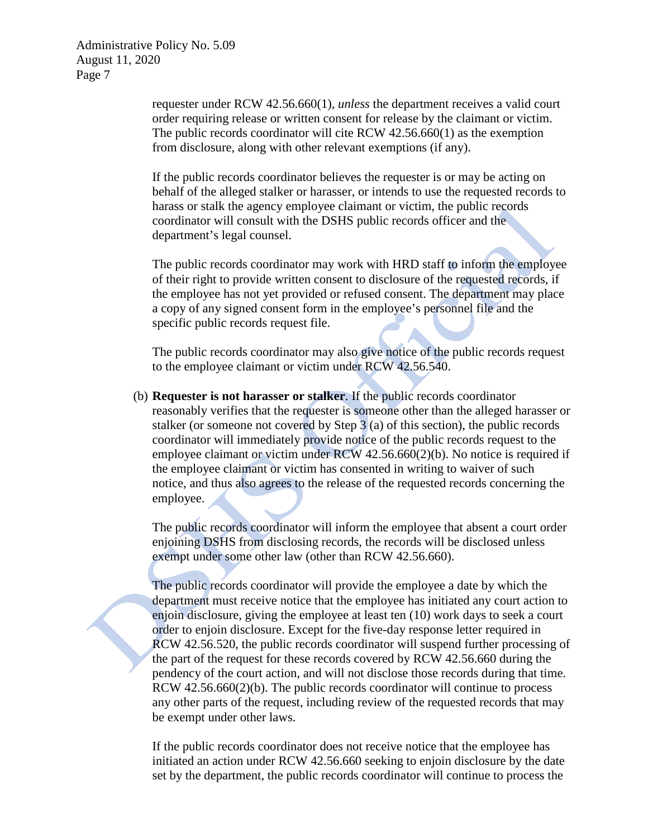> requester under RCW 42.56.660(1), *unless* the department receives a valid court order requiring release or written consent for release by the claimant or victim. The public records coordinator will cite RCW 42.56.660(1) as the exemption from disclosure, along with other relevant exemptions (if any).

If the public records coordinator believes the requester is or may be acting on behalf of the alleged stalker or harasser, or intends to use the requested records to harass or stalk the agency employee claimant or victim, the public records coordinator will consult with the DSHS public records officer and the department's legal counsel.

The public records coordinator may work with HRD staff to inform the employee of their right to provide written consent to disclosure of the requested records, if the employee has not yet provided or refused consent. The department may place a copy of any signed consent form in the employee's personnel file and the specific public records request file.

The public records coordinator may also give notice of the public records request to the employee claimant or victim under RCW 42.56.540.

(b) **Requester is not harasser or stalker**. If the public records coordinator reasonably verifies that the requester is someone other than the alleged harasser or stalker (or someone not covered by Step 3 (a) of this section), the public records coordinator will immediately provide notice of the public records request to the employee claimant or victim under RCW 42.56.660(2)(b). No notice is required if the employee claimant or victim has consented in writing to waiver of such notice, and thus also agrees to the release of the requested records concerning the employee.

The public records coordinator will inform the employee that absent a court order enjoining DSHS from disclosing records, the records will be disclosed unless exempt under some other law (other than RCW 42.56.660).

The public records coordinator will provide the employee a date by which the department must receive notice that the employee has initiated any court action to enjoin disclosure, giving the employee at least ten (10) work days to seek a court order to enjoin disclosure. Except for the five-day response letter required in RCW 42.56.520, the public records coordinator will suspend further processing of the part of the request for these records covered by RCW 42.56.660 during the pendency of the court action, and will not disclose those records during that time.  $RCW$  42.56.660 $(2)(b)$ . The public records coordinator will continue to process any other parts of the request, including review of the requested records that may be exempt under other laws.

If the public records coordinator does not receive notice that the employee has initiated an action under RCW 42.56.660 seeking to enjoin disclosure by the date set by the department, the public records coordinator will continue to process the